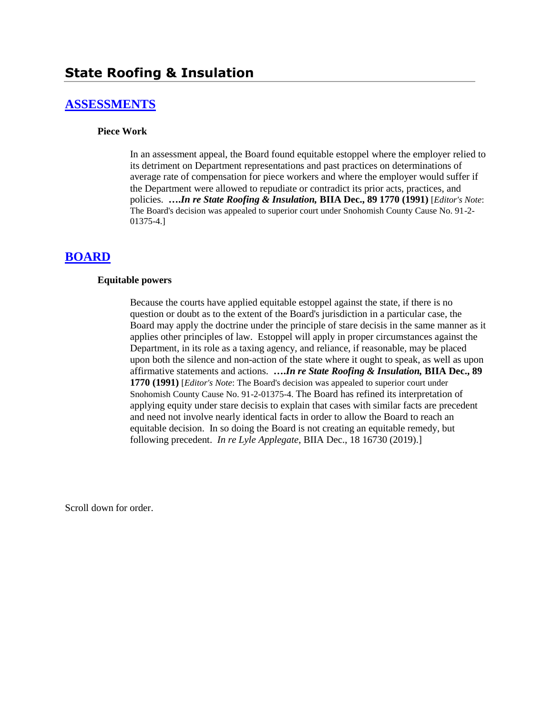# **[ASSESSMENTS](http://www.biia.wa.gov/SDSubjectIndex.html#ASSESSMENTS)**

#### **Piece Work**

In an assessment appeal, the Board found equitable estoppel where the employer relied to its detriment on Department representations and past practices on determinations of average rate of compensation for piece workers and where the employer would suffer if the Department were allowed to repudiate or contradict its prior acts, practices, and policies. **….***In re State Roofing & Insulation,* **BIIA Dec., 89 1770 (1991)** [*Editor's Note*: The Board's decision was appealed to superior court under Snohomish County Cause No. 91-2- 01375-4.]

# **[BOARD](http://www.biia.wa.gov/SDSubjectIndex.html#BOARD)**

#### **Equitable powers**

Because the courts have applied equitable estoppel against the state, if there is no question or doubt as to the extent of the Board's jurisdiction in a particular case, the Board may apply the doctrine under the principle of stare decisis in the same manner as it applies other principles of law. Estoppel will apply in proper circumstances against the Department, in its role as a taxing agency, and reliance, if reasonable, may be placed upon both the silence and non-action of the state where it ought to speak, as well as upon affirmative statements and actions. **….***In re State Roofing & Insulation,* **BIIA Dec., 89 1770 (1991)** [*Editor's Note*: The Board's decision was appealed to superior court under Snohomish County Cause No. 91-2-01375-4. The Board has refined its interpretation of applying equity under stare decisis to explain that cases with similar facts are precedent and need not involve nearly identical facts in order to allow the Board to reach an equitable decision. In so doing the Board is not creating an equitable remedy, but following precedent. *In re Lyle Applegate*, BIIA Dec., 18 16730 (2019).]

Scroll down for order.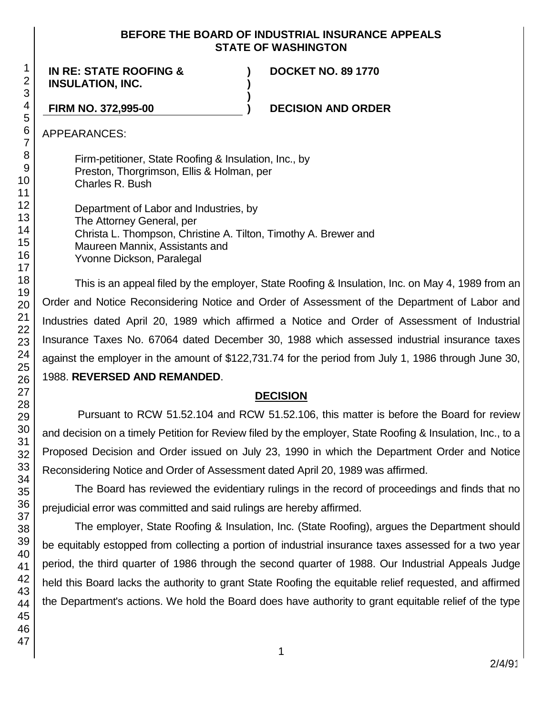#### **BEFORE THE BOARD OF INDUSTRIAL INSURANCE APPEALS STATE OF WASHINGTON**

**) )**

**)**

**IN RE: STATE ROOFING & INSULATION, INC.**

**DOCKET NO. 89 1770**

#### **FIRM NO. 372,995-00 ) DECISION AND ORDER**

APPEARANCES:

Firm-petitioner, State Roofing & Insulation, Inc., by Preston, Thorgrimson, Ellis & Holman, per Charles R. Bush

Department of Labor and Industries, by The Attorney General, per Christa L. Thompson, Christine A. Tilton, Timothy A. Brewer and Maureen Mannix, Assistants and Yvonne Dickson, Paralegal

This is an appeal filed by the employer, State Roofing & Insulation, Inc. on May 4, 1989 from an Order and Notice Reconsidering Notice and Order of Assessment of the Department of Labor and Industries dated April 20, 1989 which affirmed a Notice and Order of Assessment of Industrial Insurance Taxes No. 67064 dated December 30, 1988 which assessed industrial insurance taxes against the employer in the amount of \$122,731.74 for the period from July 1, 1986 through June 30, 1988. **REVERSED AND REMANDED**.

# **DECISION**

Pursuant to RCW 51.52.104 and RCW 51.52.106, this matter is before the Board for review and decision on a timely Petition for Review filed by the employer, State Roofing & Insulation, Inc., to a Proposed Decision and Order issued on July 23, 1990 in which the Department Order and Notice Reconsidering Notice and Order of Assessment dated April 20, 1989 was affirmed.

The Board has reviewed the evidentiary rulings in the record of proceedings and finds that no prejudicial error was committed and said rulings are hereby affirmed.

The employer, State Roofing & Insulation, Inc. (State Roofing), argues the Department should be equitably estopped from collecting a portion of industrial insurance taxes assessed for a two year period, the third quarter of 1986 through the second quarter of 1988. Our Industrial Appeals Judge held this Board lacks the authority to grant State Roofing the equitable relief requested, and affirmed the Department's actions. We hold the Board does have authority to grant equitable relief of the type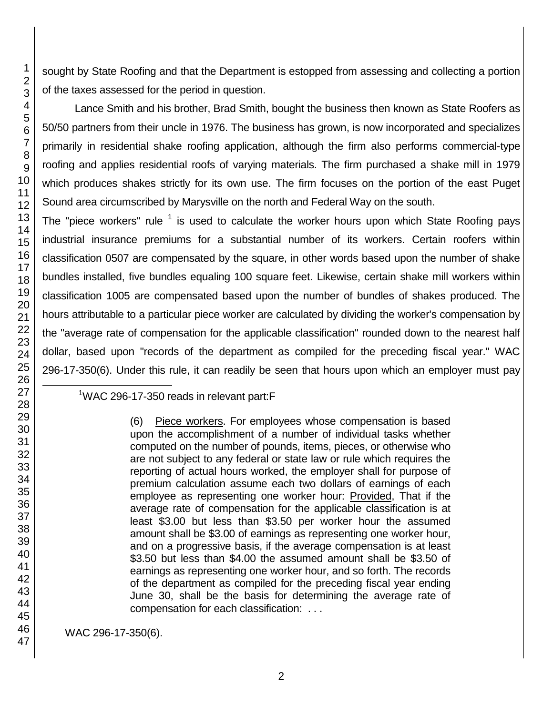sought by State Roofing and that the Department is estopped from assessing and collecting a portion of the taxes assessed for the period in question.

Lance Smith and his brother, Brad Smith, bought the business then known as State Roofers as 50/50 partners from their uncle in 1976. The business has grown, is now incorporated and specializes primarily in residential shake roofing application, although the firm also performs commercial-type roofing and applies residential roofs of varying materials. The firm purchased a shake mill in 1979 which produces shakes strictly for its own use. The firm focuses on the portion of the east Puget Sound area circumscribed by Marysville on the north and Federal Way on the south.

The "piece workers" rule  $1$  is used to calculate the worker hours upon which State Roofing pays industrial insurance premiums for a substantial number of its workers. Certain roofers within classification 0507 are compensated by the square, in other words based upon the number of shake bundles installed, five bundles equaling 100 square feet. Likewise, certain shake mill workers within classification 1005 are compensated based upon the number of bundles of shakes produced. The hours attributable to a particular piece worker are calculated by dividing the worker's compensation by the "average rate of compensation for the applicable classification" rounded down to the nearest half dollar, based upon "records of the department as compiled for the preceding fiscal year." WAC 296-17-350(6). Under this rule, it can readily be seen that hours upon which an employer must pay 

<sup>1</sup>WAC 296-17-350 reads in relevant part:F

(6) Piece workers. For employees whose compensation is based upon the accomplishment of a number of individual tasks whether computed on the number of pounds, items, pieces, or otherwise who are not subject to any federal or state law or rule which requires the reporting of actual hours worked, the employer shall for purpose of premium calculation assume each two dollars of earnings of each employee as representing one worker hour: Provided, That if the average rate of compensation for the applicable classification is at least \$3.00 but less than \$3.50 per worker hour the assumed amount shall be \$3.00 of earnings as representing one worker hour, and on a progressive basis, if the average compensation is at least \$3.50 but less than \$4.00 the assumed amount shall be \$3.50 of earnings as representing one worker hour, and so forth. The records of the department as compiled for the preceding fiscal year ending June 30, shall be the basis for determining the average rate of compensation for each classification: . . .

WAC 296-17-350(6).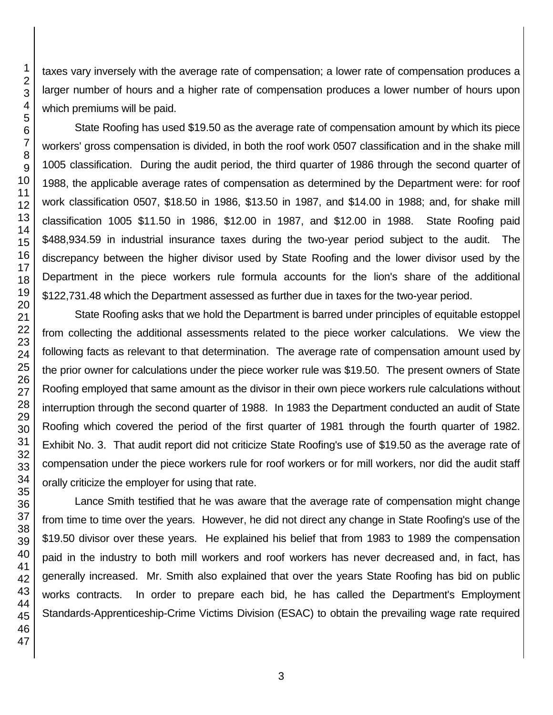taxes vary inversely with the average rate of compensation; a lower rate of compensation produces a larger number of hours and a higher rate of compensation produces a lower number of hours upon which premiums will be paid.

State Roofing has used \$19.50 as the average rate of compensation amount by which its piece workers' gross compensation is divided, in both the roof work 0507 classification and in the shake mill 1005 classification. During the audit period, the third quarter of 1986 through the second quarter of 1988, the applicable average rates of compensation as determined by the Department were: for roof work classification 0507, \$18.50 in 1986, \$13.50 in 1987, and \$14.00 in 1988; and, for shake mill classification 1005 \$11.50 in 1986, \$12.00 in 1987, and \$12.00 in 1988. State Roofing paid \$488,934.59 in industrial insurance taxes during the two-year period subject to the audit. The discrepancy between the higher divisor used by State Roofing and the lower divisor used by the Department in the piece workers rule formula accounts for the lion's share of the additional \$122,731.48 which the Department assessed as further due in taxes for the two-year period.

State Roofing asks that we hold the Department is barred under principles of equitable estoppel from collecting the additional assessments related to the piece worker calculations. We view the following facts as relevant to that determination. The average rate of compensation amount used by the prior owner for calculations under the piece worker rule was \$19.50. The present owners of State Roofing employed that same amount as the divisor in their own piece workers rule calculations without interruption through the second quarter of 1988. In 1983 the Department conducted an audit of State Roofing which covered the period of the first quarter of 1981 through the fourth quarter of 1982. Exhibit No. 3. That audit report did not criticize State Roofing's use of \$19.50 as the average rate of compensation under the piece workers rule for roof workers or for mill workers, nor did the audit staff orally criticize the employer for using that rate.

Lance Smith testified that he was aware that the average rate of compensation might change from time to time over the years. However, he did not direct any change in State Roofing's use of the \$19.50 divisor over these years. He explained his belief that from 1983 to 1989 the compensation paid in the industry to both mill workers and roof workers has never decreased and, in fact, has generally increased. Mr. Smith also explained that over the years State Roofing has bid on public works contracts. In order to prepare each bid, he has called the Department's Employment Standards-Apprenticeship-Crime Victims Division (ESAC) to obtain the prevailing wage rate required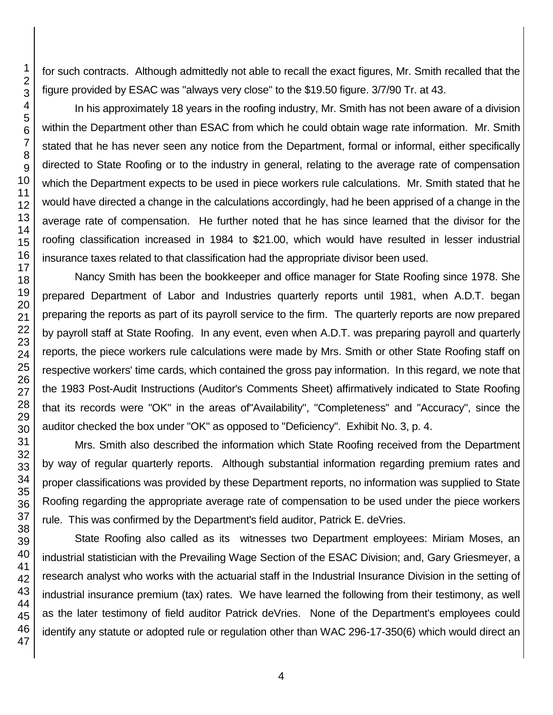for such contracts. Although admittedly not able to recall the exact figures, Mr. Smith recalled that the figure provided by ESAC was "always very close" to the \$19.50 figure. 3/7/90 Tr. at 43.

In his approximately 18 years in the roofing industry, Mr. Smith has not been aware of a division within the Department other than ESAC from which he could obtain wage rate information. Mr. Smith stated that he has never seen any notice from the Department, formal or informal, either specifically directed to State Roofing or to the industry in general, relating to the average rate of compensation which the Department expects to be used in piece workers rule calculations. Mr. Smith stated that he would have directed a change in the calculations accordingly, had he been apprised of a change in the average rate of compensation. He further noted that he has since learned that the divisor for the roofing classification increased in 1984 to \$21.00, which would have resulted in lesser industrial insurance taxes related to that classification had the appropriate divisor been used.

Nancy Smith has been the bookkeeper and office manager for State Roofing since 1978. She prepared Department of Labor and Industries quarterly reports until 1981, when A.D.T. began preparing the reports as part of its payroll service to the firm. The quarterly reports are now prepared by payroll staff at State Roofing. In any event, even when A.D.T. was preparing payroll and quarterly reports, the piece workers rule calculations were made by Mrs. Smith or other State Roofing staff on respective workers' time cards, which contained the gross pay information. In this regard, we note that the 1983 Post-Audit Instructions (Auditor's Comments Sheet) affirmatively indicated to State Roofing that its records were "OK" in the areas of"Availability", "Completeness" and "Accuracy", since the auditor checked the box under "OK" as opposed to "Deficiency". Exhibit No. 3, p. 4.

Mrs. Smith also described the information which State Roofing received from the Department by way of regular quarterly reports. Although substantial information regarding premium rates and proper classifications was provided by these Department reports, no information was supplied to State Roofing regarding the appropriate average rate of compensation to be used under the piece workers rule. This was confirmed by the Department's field auditor, Patrick E. deVries.

State Roofing also called as its witnesses two Department employees: Miriam Moses, an industrial statistician with the Prevailing Wage Section of the ESAC Division; and, Gary Griesmeyer, a research analyst who works with the actuarial staff in the Industrial Insurance Division in the setting of industrial insurance premium (tax) rates. We have learned the following from their testimony, as well as the later testimony of field auditor Patrick deVries. None of the Department's employees could identify any statute or adopted rule or regulation other than WAC 296-17-350(6) which would direct an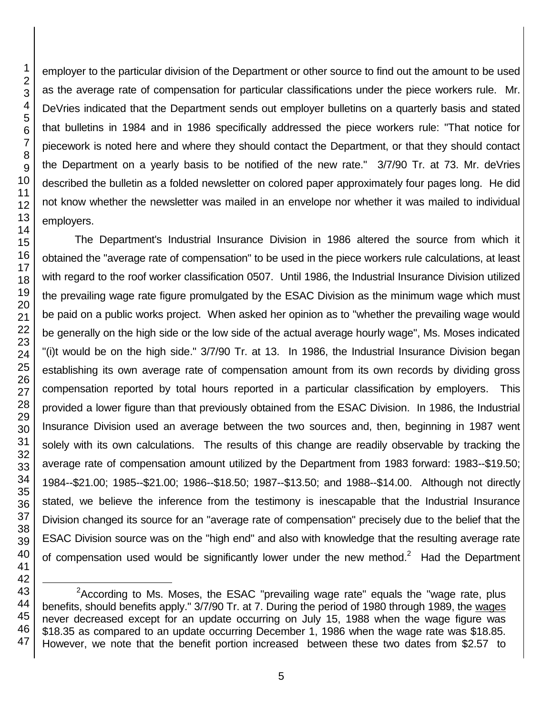employer to the particular division of the Department or other source to find out the amount to be used as the average rate of compensation for particular classifications under the piece workers rule. Mr. DeVries indicated that the Department sends out employer bulletins on a quarterly basis and stated that bulletins in 1984 and in 1986 specifically addressed the piece workers rule: "That notice for piecework is noted here and where they should contact the Department, or that they should contact the Department on a yearly basis to be notified of the new rate." 3/7/90 Tr. at 73. Mr. deVries described the bulletin as a folded newsletter on colored paper approximately four pages long. He did not know whether the newsletter was mailed in an envelope nor whether it was mailed to individual employers.

The Department's Industrial Insurance Division in 1986 altered the source from which it obtained the "average rate of compensation" to be used in the piece workers rule calculations, at least with regard to the roof worker classification 0507. Until 1986, the Industrial Insurance Division utilized the prevailing wage rate figure promulgated by the ESAC Division as the minimum wage which must be paid on a public works project. When asked her opinion as to "whether the prevailing wage would be generally on the high side or the low side of the actual average hourly wage", Ms. Moses indicated "(i)t would be on the high side." 3/7/90 Tr. at 13. In 1986, the Industrial Insurance Division began establishing its own average rate of compensation amount from its own records by dividing gross compensation reported by total hours reported in a particular classification by employers. This provided a lower figure than that previously obtained from the ESAC Division. In 1986, the Industrial Insurance Division used an average between the two sources and, then, beginning in 1987 went solely with its own calculations. The results of this change are readily observable by tracking the average rate of compensation amount utilized by the Department from 1983 forward: 1983--\$19.50; 1984--\$21.00; 1985--\$21.00; 1986--\$18.50; 1987--\$13.50; and 1988--\$14.00. Although not directly stated, we believe the inference from the testimony is inescapable that the Industrial Insurance Division changed its source for an "average rate of compensation" precisely due to the belief that the ESAC Division source was on the "high end" and also with knowledge that the resulting average rate of compensation used would be significantly lower under the new method. $2$  Had the Department

 <sup>2</sup> According to Ms. Moses, the ESAC "prevailing wage rate" equals the "wage rate, plus benefits, should benefits apply." 3/7/90 Tr. at 7. During the period of 1980 through 1989, the wages never decreased except for an update occurring on July 15, 1988 when the wage figure was \$18.35 as compared to an update occurring December 1, 1986 when the wage rate was \$18.85. However, we note that the benefit portion increased between these two dates from \$2.57 to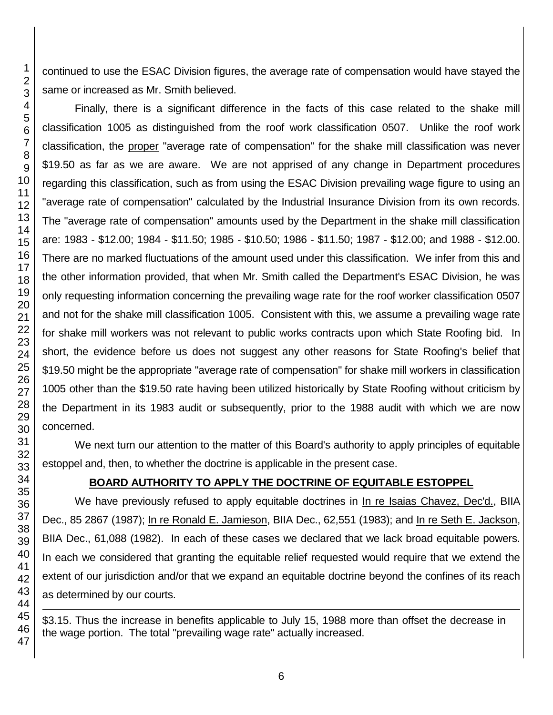continued to use the ESAC Division figures, the average rate of compensation would have stayed the same or increased as Mr. Smith believed.

Finally, there is a significant difference in the facts of this case related to the shake mill classification 1005 as distinguished from the roof work classification 0507. Unlike the roof work classification, the proper "average rate of compensation" for the shake mill classification was never \$19.50 as far as we are aware. We are not apprised of any change in Department procedures regarding this classification, such as from using the ESAC Division prevailing wage figure to using an "average rate of compensation" calculated by the Industrial Insurance Division from its own records. The "average rate of compensation" amounts used by the Department in the shake mill classification are: 1983 - \$12.00; 1984 - \$11.50; 1985 - \$10.50; 1986 - \$11.50; 1987 - \$12.00; and 1988 - \$12.00. There are no marked fluctuations of the amount used under this classification. We infer from this and the other information provided, that when Mr. Smith called the Department's ESAC Division, he was only requesting information concerning the prevailing wage rate for the roof worker classification 0507 and not for the shake mill classification 1005. Consistent with this, we assume a prevailing wage rate for shake mill workers was not relevant to public works contracts upon which State Roofing bid. In short, the evidence before us does not suggest any other reasons for State Roofing's belief that \$19.50 might be the appropriate "average rate of compensation" for shake mill workers in classification 1005 other than the \$19.50 rate having been utilized historically by State Roofing without criticism by the Department in its 1983 audit or subsequently, prior to the 1988 audit with which we are now concerned.

We next turn our attention to the matter of this Board's authority to apply principles of equitable estoppel and, then, to whether the doctrine is applicable in the present case.

# **BOARD AUTHORITY TO APPLY THE DOCTRINE OF EQUITABLE ESTOPPEL**

We have previously refused to apply equitable doctrines in In re Isaias Chavez, Dec'd., BIIA Dec., 85 2867 (1987); In re Ronald E. Jamieson, BIIA Dec., 62,551 (1983); and In re Seth E. Jackson, BIIA Dec., 61,088 (1982). In each of these cases we declared that we lack broad equitable powers. In each we considered that granting the equitable relief requested would require that we extend the extent of our jurisdiction and/or that we expand an equitable doctrine beyond the confines of its reach as determined by our courts.

\$3.15. Thus the increase in benefits applicable to July 15, 1988 more than offset the decrease in the wage portion. The total "prevailing wage rate" actually increased.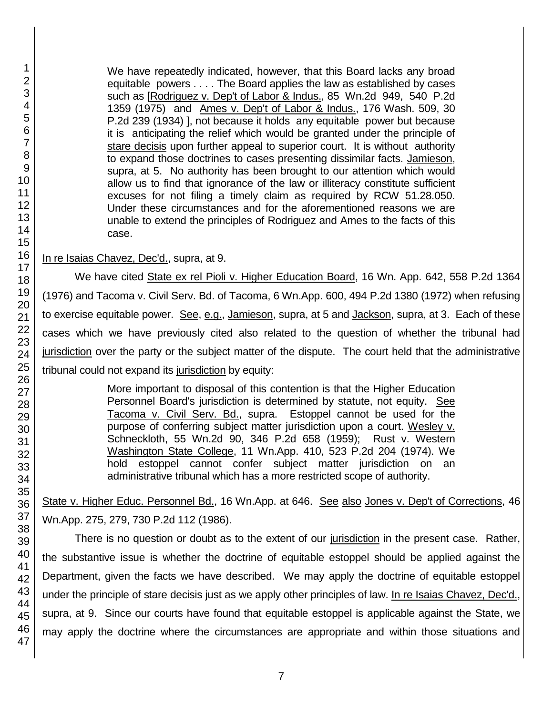We have repeatedly indicated, however, that this Board lacks any broad equitable powers . . . . The Board applies the law as established by cases such as [Rodriguez v. Dep't of Labor & Indus., 85 Wn.2d 949, 540 P.2d 1359 (1975) and Ames v. Dep't of Labor & Indus., 176 Wash. 509, 30 P.2d 239 (1934) ], not because it holds any equitable power but because it is anticipating the relief which would be granted under the principle of stare decisis upon further appeal to superior court. It is without authority to expand those doctrines to cases presenting dissimilar facts. Jamieson, supra, at 5. No authority has been brought to our attention which would allow us to find that ignorance of the law or illiteracy constitute sufficient excuses for not filing a timely claim as required by RCW 51.28.050. Under these circumstances and for the aforementioned reasons we are unable to extend the principles of Rodriguez and Ames to the facts of this case.

#### In re Isaias Chavez, Dec'd., supra, at 9.

We have cited State ex rel Pioli v. Higher Education Board, 16 Wn. App. 642, 558 P.2d 1364 (1976) and Tacoma v. Civil Serv. Bd. of Tacoma, 6 Wn.App. 600, 494 P.2d 1380 (1972) when refusing to exercise equitable power. See, e.g., Jamieson, supra, at 5 and Jackson, supra, at 3. Each of these cases which we have previously cited also related to the question of whether the tribunal had jurisdiction over the party or the subject matter of the dispute. The court held that the administrative tribunal could not expand its jurisdiction by equity:

> More important to disposal of this contention is that the Higher Education Personnel Board's jurisdiction is determined by statute, not equity. See Tacoma v. Civil Serv. Bd., supra. Estoppel cannot be used for the purpose of conferring subject matter jurisdiction upon a court. Wesley v. Schneckloth, 55 Wn.2d 90, 346 P.2d 658 (1959); Rust v. Western Washington State College, 11 Wn.App. 410, 523 P.2d 204 (1974). We hold estoppel cannot confer subject matter jurisdiction on an administrative tribunal which has a more restricted scope of authority.

State v. Higher Educ. Personnel Bd., 16 Wn.App. at 646. See also Jones v. Dep't of Corrections, 46 Wn.App. 275, 279, 730 P.2d 112 (1986).

There is no question or doubt as to the extent of our jurisdiction in the present case. Rather, the substantive issue is whether the doctrine of equitable estoppel should be applied against the Department, given the facts we have described. We may apply the doctrine of equitable estoppel under the principle of stare decisis just as we apply other principles of law. In re Isaias Chavez, Dec'd., supra, at 9. Since our courts have found that equitable estoppel is applicable against the State, we may apply the doctrine where the circumstances are appropriate and within those situations and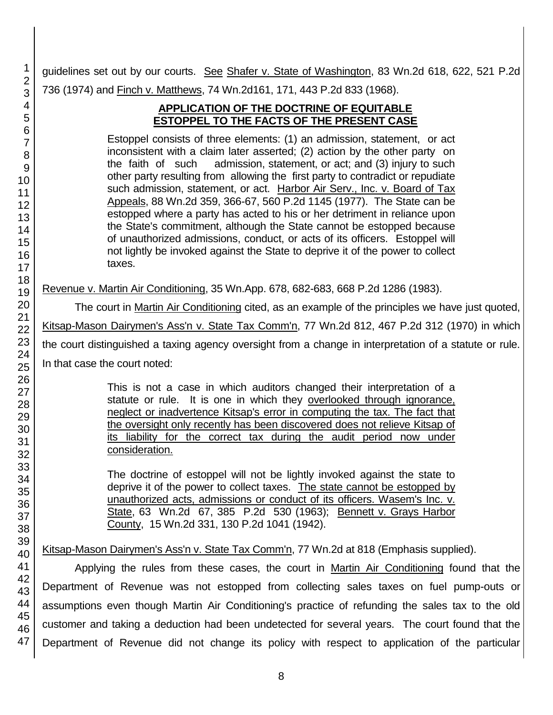guidelines set out by our courts. See Shafer v. State of Washington, 83 Wn.2d 618, 622, 521 P.2d 736 (1974) and Finch v. Matthews, 74 Wn.2d161, 171, 443 P.2d 833 (1968).

# **APPLICATION OF THE DOCTRINE OF EQUITABLE ESTOPPEL TO THE FACTS OF THE PRESENT CASE**

Estoppel consists of three elements: (1) an admission, statement, or act inconsistent with a claim later asserted; (2) action by the other party on the faith of such admission, statement, or act; and (3) injury to such other party resulting from allowing the first party to contradict or repudiate such admission, statement, or act. Harbor Air Serv., Inc. v. Board of Tax Appeals, 88 Wn.2d 359, 366-67, 560 P.2d 1145 (1977). The State can be estopped where a party has acted to his or her detriment in reliance upon the State's commitment, although the State cannot be estopped because of unauthorized admissions, conduct, or acts of its officers. Estoppel will not lightly be invoked against the State to deprive it of the power to collect taxes.

Revenue v. Martin Air Conditioning, 35 Wn.App. 678, 682-683, 668 P.2d 1286 (1983).

The court in Martin Air Conditioning cited, as an example of the principles we have just quoted, Kitsap-Mason Dairymen's Ass'n v. State Tax Comm'n, 77 Wn.2d 812, 467 P.2d 312 (1970) in which the court distinguished a taxing agency oversight from a change in interpretation of a statute or rule. In that case the court noted:

> This is not a case in which auditors changed their interpretation of a statute or rule. It is one in which they overlooked through ignorance, neglect or inadvertence Kitsap's error in computing the tax. The fact that the oversight only recently has been discovered does not relieve Kitsap of its liability for the correct tax during the audit period now under consideration.

> The doctrine of estoppel will not be lightly invoked against the state to deprive it of the power to collect taxes. The state cannot be estopped by unauthorized acts, admissions or conduct of its officers. Wasem's Inc. v. State, 63 Wn.2d 67, 385 P.2d 530 (1963); Bennett v. Grays Harbor County, 15 Wn.2d 331, 130 P.2d 1041 (1942).

Kitsap-Mason Dairymen's Ass'n v. State Tax Comm'n, 77 Wn.2d at 818 (Emphasis supplied).

Applying the rules from these cases, the court in Martin Air Conditioning found that the Department of Revenue was not estopped from collecting sales taxes on fuel pump-outs or assumptions even though Martin Air Conditioning's practice of refunding the sales tax to the old customer and taking a deduction had been undetected for several years. The court found that the Department of Revenue did not change its policy with respect to application of the particular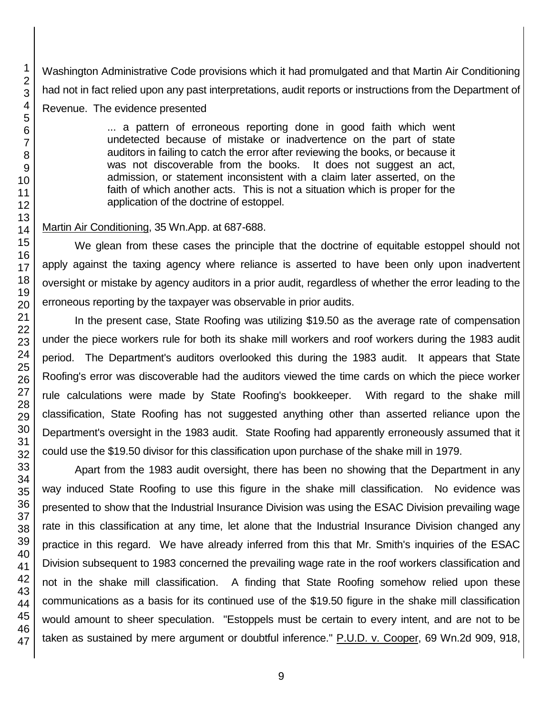Washington Administrative Code provisions which it had promulgated and that Martin Air Conditioning had not in fact relied upon any past interpretations, audit reports or instructions from the Department of Revenue. The evidence presented

> ... a pattern of erroneous reporting done in good faith which went undetected because of mistake or inadvertence on the part of state auditors in failing to catch the error after reviewing the books, or because it was not discoverable from the books. It does not suggest an act, admission, or statement inconsistent with a claim later asserted, on the faith of which another acts. This is not a situation which is proper for the application of the doctrine of estoppel.

#### Martin Air Conditioning, 35 Wn.App. at 687-688.

We glean from these cases the principle that the doctrine of equitable estoppel should not apply against the taxing agency where reliance is asserted to have been only upon inadvertent oversight or mistake by agency auditors in a prior audit, regardless of whether the error leading to the erroneous reporting by the taxpayer was observable in prior audits.

In the present case, State Roofing was utilizing \$19.50 as the average rate of compensation under the piece workers rule for both its shake mill workers and roof workers during the 1983 audit period. The Department's auditors overlooked this during the 1983 audit. It appears that State Roofing's error was discoverable had the auditors viewed the time cards on which the piece worker rule calculations were made by State Roofing's bookkeeper. With regard to the shake mill classification, State Roofing has not suggested anything other than asserted reliance upon the Department's oversight in the 1983 audit. State Roofing had apparently erroneously assumed that it could use the \$19.50 divisor for this classification upon purchase of the shake mill in 1979.

Apart from the 1983 audit oversight, there has been no showing that the Department in any way induced State Roofing to use this figure in the shake mill classification. No evidence was presented to show that the Industrial Insurance Division was using the ESAC Division prevailing wage rate in this classification at any time, let alone that the Industrial Insurance Division changed any practice in this regard. We have already inferred from this that Mr. Smith's inquiries of the ESAC Division subsequent to 1983 concerned the prevailing wage rate in the roof workers classification and not in the shake mill classification. A finding that State Roofing somehow relied upon these communications as a basis for its continued use of the \$19.50 figure in the shake mill classification would amount to sheer speculation. "Estoppels must be certain to every intent, and are not to be taken as sustained by mere argument or doubtful inference." P.U.D. v. Cooper, 69 Wn.2d 909, 918,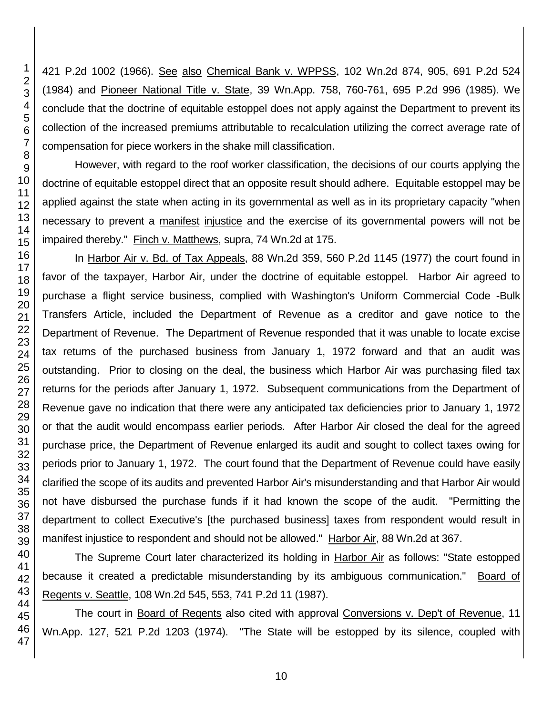421 P.2d 1002 (1966). See also Chemical Bank v. WPPSS, 102 Wn.2d 874, 905, 691 P.2d 524 (1984) and Pioneer National Title v. State, 39 Wn.App. 758, 760-761, 695 P.2d 996 (1985). We conclude that the doctrine of equitable estoppel does not apply against the Department to prevent its collection of the increased premiums attributable to recalculation utilizing the correct average rate of compensation for piece workers in the shake mill classification.

However, with regard to the roof worker classification, the decisions of our courts applying the doctrine of equitable estoppel direct that an opposite result should adhere. Equitable estoppel may be applied against the state when acting in its governmental as well as in its proprietary capacity "when necessary to prevent a manifest injustice and the exercise of its governmental powers will not be impaired thereby." Finch v. Matthews, supra, 74 Wn.2d at 175.

In Harbor Air v. Bd. of Tax Appeals, 88 Wn.2d 359, 560 P.2d 1145 (1977) the court found in favor of the taxpayer, Harbor Air, under the doctrine of equitable estoppel. Harbor Air agreed to purchase a flight service business, complied with Washington's Uniform Commercial Code -Bulk Transfers Article, included the Department of Revenue as a creditor and gave notice to the Department of Revenue. The Department of Revenue responded that it was unable to locate excise tax returns of the purchased business from January 1, 1972 forward and that an audit was outstanding. Prior to closing on the deal, the business which Harbor Air was purchasing filed tax returns for the periods after January 1, 1972. Subsequent communications from the Department of Revenue gave no indication that there were any anticipated tax deficiencies prior to January 1, 1972 or that the audit would encompass earlier periods. After Harbor Air closed the deal for the agreed purchase price, the Department of Revenue enlarged its audit and sought to collect taxes owing for periods prior to January 1, 1972. The court found that the Department of Revenue could have easily clarified the scope of its audits and prevented Harbor Air's misunderstanding and that Harbor Air would not have disbursed the purchase funds if it had known the scope of the audit. "Permitting the department to collect Executive's [the purchased business] taxes from respondent would result in manifest injustice to respondent and should not be allowed." Harbor Air, 88 Wn.2d at 367.

The Supreme Court later characterized its holding in Harbor Air as follows: "State estopped because it created a predictable misunderstanding by its ambiguous communication." Board of Regents v. Seattle, 108 Wn.2d 545, 553, 741 P.2d 11 (1987).

The court in Board of Regents also cited with approval Conversions v. Dep't of Revenue, 11 Wn.App. 127, 521 P.2d 1203 (1974). "The State will be estopped by its silence, coupled with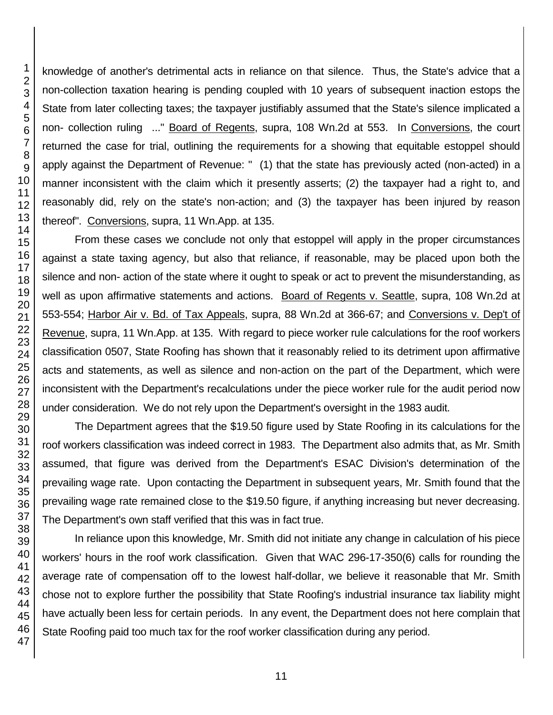knowledge of another's detrimental acts in reliance on that silence. Thus, the State's advice that a non-collection taxation hearing is pending coupled with 10 years of subsequent inaction estops the State from later collecting taxes; the taxpayer justifiably assumed that the State's silence implicated a non- collection ruling ..." Board of Regents, supra, 108 Wn.2d at 553. In Conversions, the court returned the case for trial, outlining the requirements for a showing that equitable estoppel should apply against the Department of Revenue: " (1) that the state has previously acted (non-acted) in a manner inconsistent with the claim which it presently asserts; (2) the taxpayer had a right to, and reasonably did, rely on the state's non-action; and (3) the taxpayer has been injured by reason thereof". Conversions, supra, 11 Wn.App. at 135.

From these cases we conclude not only that estoppel will apply in the proper circumstances against a state taxing agency, but also that reliance, if reasonable, may be placed upon both the silence and non- action of the state where it ought to speak or act to prevent the misunderstanding, as well as upon affirmative statements and actions. Board of Regents v. Seattle, supra, 108 Wn.2d at 553-554; Harbor Air v. Bd. of Tax Appeals, supra, 88 Wn.2d at 366-67; and Conversions v. Dep't of Revenue, supra, 11 Wn.App. at 135. With regard to piece worker rule calculations for the roof workers classification 0507, State Roofing has shown that it reasonably relied to its detriment upon affirmative acts and statements, as well as silence and non-action on the part of the Department, which were inconsistent with the Department's recalculations under the piece worker rule for the audit period now under consideration. We do not rely upon the Department's oversight in the 1983 audit.

The Department agrees that the \$19.50 figure used by State Roofing in its calculations for the roof workers classification was indeed correct in 1983. The Department also admits that, as Mr. Smith assumed, that figure was derived from the Department's ESAC Division's determination of the prevailing wage rate. Upon contacting the Department in subsequent years, Mr. Smith found that the prevailing wage rate remained close to the \$19.50 figure, if anything increasing but never decreasing. The Department's own staff verified that this was in fact true.

In reliance upon this knowledge, Mr. Smith did not initiate any change in calculation of his piece workers' hours in the roof work classification. Given that WAC 296-17-350(6) calls for rounding the average rate of compensation off to the lowest half-dollar, we believe it reasonable that Mr. Smith chose not to explore further the possibility that State Roofing's industrial insurance tax liability might have actually been less for certain periods. In any event, the Department does not here complain that State Roofing paid too much tax for the roof worker classification during any period.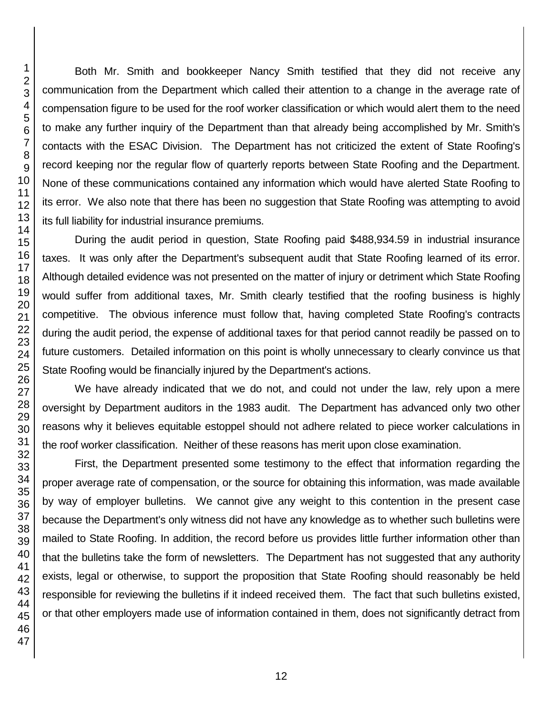Both Mr. Smith and bookkeeper Nancy Smith testified that they did not receive any communication from the Department which called their attention to a change in the average rate of compensation figure to be used for the roof worker classification or which would alert them to the need to make any further inquiry of the Department than that already being accomplished by Mr. Smith's contacts with the ESAC Division. The Department has not criticized the extent of State Roofing's record keeping nor the regular flow of quarterly reports between State Roofing and the Department. None of these communications contained any information which would have alerted State Roofing to its error. We also note that there has been no suggestion that State Roofing was attempting to avoid its full liability for industrial insurance premiums.

During the audit period in question, State Roofing paid \$488,934.59 in industrial insurance taxes. It was only after the Department's subsequent audit that State Roofing learned of its error. Although detailed evidence was not presented on the matter of injury or detriment which State Roofing would suffer from additional taxes, Mr. Smith clearly testified that the roofing business is highly competitive. The obvious inference must follow that, having completed State Roofing's contracts during the audit period, the expense of additional taxes for that period cannot readily be passed on to future customers. Detailed information on this point is wholly unnecessary to clearly convince us that State Roofing would be financially injured by the Department's actions.

We have already indicated that we do not, and could not under the law, rely upon a mere oversight by Department auditors in the 1983 audit. The Department has advanced only two other reasons why it believes equitable estoppel should not adhere related to piece worker calculations in the roof worker classification. Neither of these reasons has merit upon close examination.

First, the Department presented some testimony to the effect that information regarding the proper average rate of compensation, or the source for obtaining this information, was made available by way of employer bulletins. We cannot give any weight to this contention in the present case because the Department's only witness did not have any knowledge as to whether such bulletins were mailed to State Roofing. In addition, the record before us provides little further information other than that the bulletins take the form of newsletters. The Department has not suggested that any authority exists, legal or otherwise, to support the proposition that State Roofing should reasonably be held responsible for reviewing the bulletins if it indeed received them. The fact that such bulletins existed, or that other employers made use of information contained in them, does not significantly detract from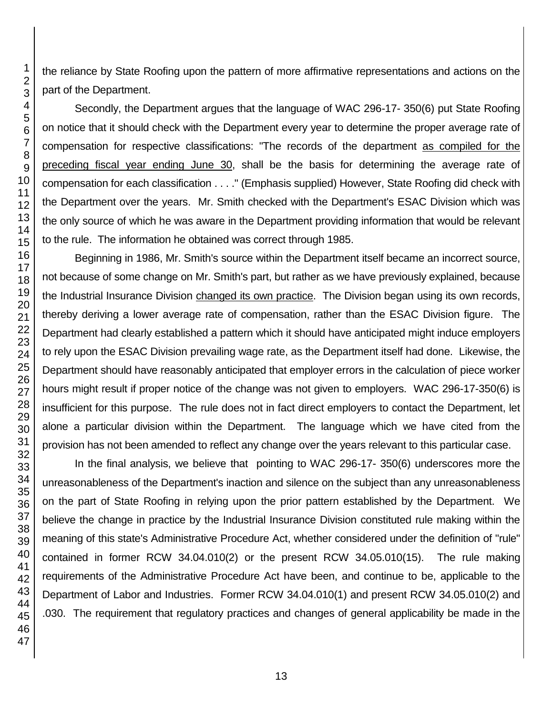the reliance by State Roofing upon the pattern of more affirmative representations and actions on the part of the Department.

Secondly, the Department argues that the language of WAC 296-17- 350(6) put State Roofing on notice that it should check with the Department every year to determine the proper average rate of compensation for respective classifications: "The records of the department as compiled for the preceding fiscal year ending June 30, shall be the basis for determining the average rate of compensation for each classification . . . ." (Emphasis supplied) However, State Roofing did check with the Department over the years. Mr. Smith checked with the Department's ESAC Division which was the only source of which he was aware in the Department providing information that would be relevant to the rule. The information he obtained was correct through 1985.

Beginning in 1986, Mr. Smith's source within the Department itself became an incorrect source, not because of some change on Mr. Smith's part, but rather as we have previously explained, because the Industrial Insurance Division changed its own practice. The Division began using its own records, thereby deriving a lower average rate of compensation, rather than the ESAC Division figure. The Department had clearly established a pattern which it should have anticipated might induce employers to rely upon the ESAC Division prevailing wage rate, as the Department itself had done. Likewise, the Department should have reasonably anticipated that employer errors in the calculation of piece worker hours might result if proper notice of the change was not given to employers. WAC 296-17-350(6) is insufficient for this purpose. The rule does not in fact direct employers to contact the Department, let alone a particular division within the Department. The language which we have cited from the provision has not been amended to reflect any change over the years relevant to this particular case.

In the final analysis, we believe that pointing to WAC 296-17- 350(6) underscores more the unreasonableness of the Department's inaction and silence on the subject than any unreasonableness on the part of State Roofing in relying upon the prior pattern established by the Department. We believe the change in practice by the Industrial Insurance Division constituted rule making within the meaning of this state's Administrative Procedure Act, whether considered under the definition of "rule" contained in former RCW 34.04.010(2) or the present RCW 34.05.010(15). The rule making requirements of the Administrative Procedure Act have been, and continue to be, applicable to the Department of Labor and Industries. Former RCW 34.04.010(1) and present RCW 34.05.010(2) and .030. The requirement that regulatory practices and changes of general applicability be made in the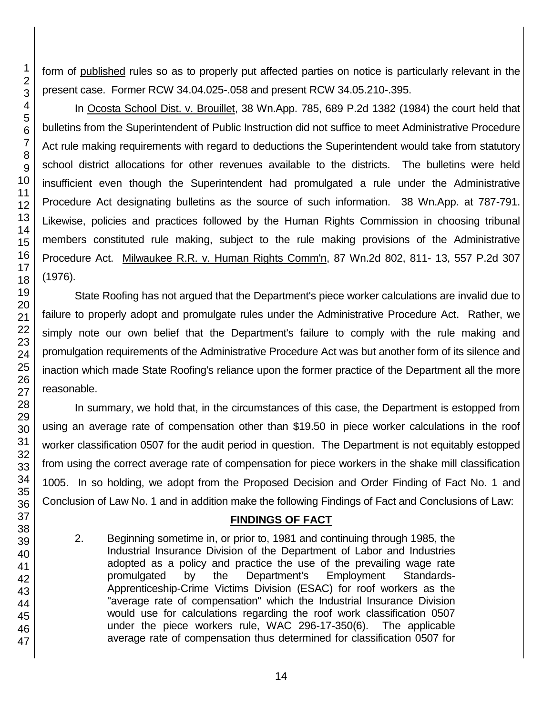form of published rules so as to properly put affected parties on notice is particularly relevant in the present case. Former RCW 34.04.025-.058 and present RCW 34.05.210-.395.

In Ocosta School Dist. v. Brouillet, 38 Wn.App. 785, 689 P.2d 1382 (1984) the court held that bulletins from the Superintendent of Public Instruction did not suffice to meet Administrative Procedure Act rule making requirements with regard to deductions the Superintendent would take from statutory school district allocations for other revenues available to the districts. The bulletins were held insufficient even though the Superintendent had promulgated a rule under the Administrative Procedure Act designating bulletins as the source of such information. 38 Wn.App. at 787-791. Likewise, policies and practices followed by the Human Rights Commission in choosing tribunal members constituted rule making, subject to the rule making provisions of the Administrative Procedure Act. Milwaukee R.R. v. Human Rights Comm'n, 87 Wn.2d 802, 811- 13, 557 P.2d 307 (1976).

State Roofing has not argued that the Department's piece worker calculations are invalid due to failure to properly adopt and promulgate rules under the Administrative Procedure Act. Rather, we simply note our own belief that the Department's failure to comply with the rule making and promulgation requirements of the Administrative Procedure Act was but another form of its silence and inaction which made State Roofing's reliance upon the former practice of the Department all the more reasonable.

In summary, we hold that, in the circumstances of this case, the Department is estopped from using an average rate of compensation other than \$19.50 in piece worker calculations in the roof worker classification 0507 for the audit period in question. The Department is not equitably estopped from using the correct average rate of compensation for piece workers in the shake mill classification 1005. In so holding, we adopt from the Proposed Decision and Order Finding of Fact No. 1 and Conclusion of Law No. 1 and in addition make the following Findings of Fact and Conclusions of Law:

# **FINDINGS OF FACT**

2. Beginning sometime in, or prior to, 1981 and continuing through 1985, the Industrial Insurance Division of the Department of Labor and Industries adopted as a policy and practice the use of the prevailing wage rate promulgated by the Department's Employment Standards-Apprenticeship-Crime Victims Division (ESAC) for roof workers as the "average rate of compensation" which the Industrial Insurance Division would use for calculations regarding the roof work classification 0507 under the piece workers rule, WAC 296-17-350(6). The applicable average rate of compensation thus determined for classification 0507 for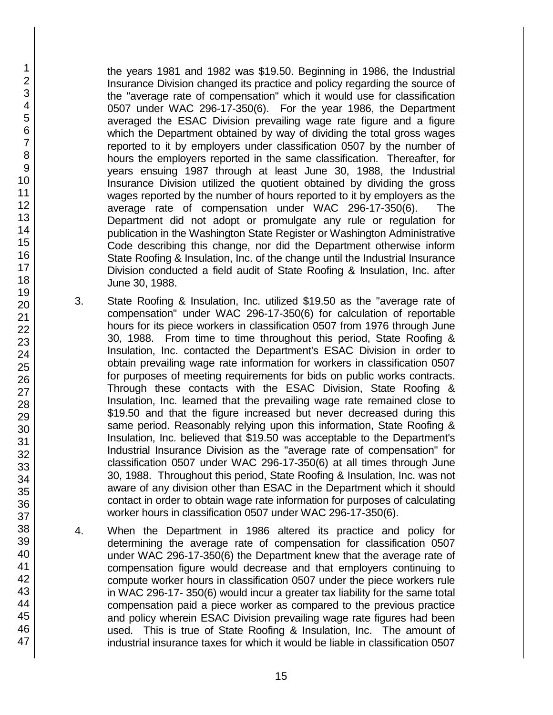the years 1981 and 1982 was \$19.50. Beginning in 1986, the Industrial Insurance Division changed its practice and policy regarding the source of the "average rate of compensation" which it would use for classification 0507 under WAC 296-17-350(6). For the year 1986, the Department averaged the ESAC Division prevailing wage rate figure and a figure which the Department obtained by way of dividing the total gross wages reported to it by employers under classification 0507 by the number of hours the employers reported in the same classification. Thereafter, for years ensuing 1987 through at least June 30, 1988, the Industrial Insurance Division utilized the quotient obtained by dividing the gross wages reported by the number of hours reported to it by employers as the average rate of compensation under WAC 296-17-350(6). The Department did not adopt or promulgate any rule or regulation for publication in the Washington State Register or Washington Administrative Code describing this change, nor did the Department otherwise inform State Roofing & Insulation, Inc. of the change until the Industrial Insurance Division conducted a field audit of State Roofing & Insulation, Inc. after June 30, 1988.

- 3. State Roofing & Insulation, Inc. utilized \$19.50 as the "average rate of compensation" under WAC 296-17-350(6) for calculation of reportable hours for its piece workers in classification 0507 from 1976 through June 30, 1988. From time to time throughout this period, State Roofing & Insulation, Inc. contacted the Department's ESAC Division in order to obtain prevailing wage rate information for workers in classification 0507 for purposes of meeting requirements for bids on public works contracts. Through these contacts with the ESAC Division, State Roofing & Insulation, Inc. learned that the prevailing wage rate remained close to \$19.50 and that the figure increased but never decreased during this same period. Reasonably relying upon this information, State Roofing & Insulation, Inc. believed that \$19.50 was acceptable to the Department's Industrial Insurance Division as the "average rate of compensation" for classification 0507 under WAC 296-17-350(6) at all times through June 30, 1988. Throughout this period, State Roofing & Insulation, Inc. was not aware of any division other than ESAC in the Department which it should contact in order to obtain wage rate information for purposes of calculating worker hours in classification 0507 under WAC 296-17-350(6).
- 4. When the Department in 1986 altered its practice and policy for determining the average rate of compensation for classification 0507 under WAC 296-17-350(6) the Department knew that the average rate of compensation figure would decrease and that employers continuing to compute worker hours in classification 0507 under the piece workers rule in WAC 296-17- 350(6) would incur a greater tax liability for the same total compensation paid a piece worker as compared to the previous practice and policy wherein ESAC Division prevailing wage rate figures had been used. This is true of State Roofing & Insulation, Inc. The amount of industrial insurance taxes for which it would be liable in classification 0507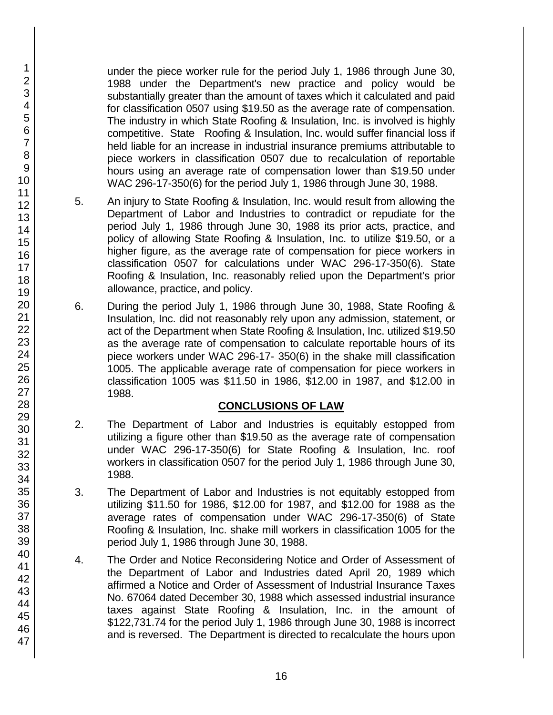under the piece worker rule for the period July 1, 1986 through June 30, 1988 under the Department's new practice and policy would be substantially greater than the amount of taxes which it calculated and paid for classification 0507 using \$19.50 as the average rate of compensation. The industry in which State Roofing & Insulation, Inc. is involved is highly competitive. State Roofing & Insulation, Inc. would suffer financial loss if held liable for an increase in industrial insurance premiums attributable to piece workers in classification 0507 due to recalculation of reportable hours using an average rate of compensation lower than \$19.50 under WAC 296-17-350(6) for the period July 1, 1986 through June 30, 1988.

- 5. An injury to State Roofing & Insulation, Inc. would result from allowing the Department of Labor and Industries to contradict or repudiate for the period July 1, 1986 through June 30, 1988 its prior acts, practice, and policy of allowing State Roofing & Insulation, Inc. to utilize \$19.50, or a higher figure, as the average rate of compensation for piece workers in classification 0507 for calculations under WAC 296-17-350(6). State Roofing & Insulation, Inc. reasonably relied upon the Department's prior allowance, practice, and policy.
- 6. During the period July 1, 1986 through June 30, 1988, State Roofing & Insulation, Inc. did not reasonably rely upon any admission, statement, or act of the Department when State Roofing & Insulation, Inc. utilized \$19.50 as the average rate of compensation to calculate reportable hours of its piece workers under WAC 296-17- 350(6) in the shake mill classification 1005. The applicable average rate of compensation for piece workers in classification 1005 was \$11.50 in 1986, \$12.00 in 1987, and \$12.00 in 1988.

# **CONCLUSIONS OF LAW**

- 2. The Department of Labor and Industries is equitably estopped from utilizing a figure other than \$19.50 as the average rate of compensation under WAC 296-17-350(6) for State Roofing & Insulation, Inc. roof workers in classification 0507 for the period July 1, 1986 through June 30, 1988.
- 3. The Department of Labor and Industries is not equitably estopped from utilizing \$11.50 for 1986, \$12.00 for 1987, and \$12.00 for 1988 as the average rates of compensation under WAC 296-17-350(6) of State Roofing & Insulation, Inc. shake mill workers in classification 1005 for the period July 1, 1986 through June 30, 1988.
- 4. The Order and Notice Reconsidering Notice and Order of Assessment of the Department of Labor and Industries dated April 20, 1989 which affirmed a Notice and Order of Assessment of Industrial Insurance Taxes No. 67064 dated December 30, 1988 which assessed industrial insurance taxes against State Roofing & Insulation, Inc. in the amount of \$122,731.74 for the period July 1, 1986 through June 30, 1988 is incorrect and is reversed. The Department is directed to recalculate the hours upon